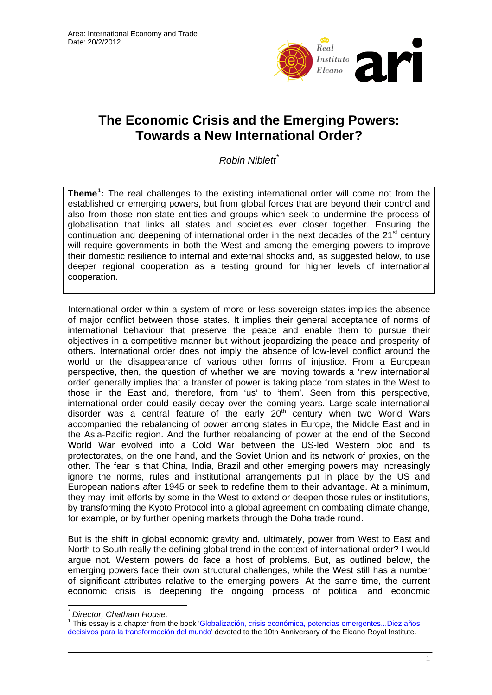

# **The Economic Crisis and the Emerging Powers: Towards a New International Order?**

*Robin Niblett*[\\*](#page-0-0)

**Theme[1](#page-0-1) :** The real challenges to the existing international order will come not from the established or emerging powers, but from global forces that are beyond their control and also from those non-state entities and groups which seek to undermine the process of globalisation that links all states and societies ever closer together. Ensuring the continuation and deepening of international order in the next decades of the 21<sup>st</sup> century will require governments in both the West and among the emerging powers to improve their domestic resilience to internal and external shocks and, as suggested below, to use deeper regional cooperation as a testing ground for higher levels of international cooperation.

International order within a system of more or less sovereign states implies the absence of major conflict between those states. It implies their general acceptance of norms of international behaviour that preserve the peace and enable them to pursue their objectives in a competitive manner but without jeopardizing the peace and prosperity of others. International order does not imply the absence of low-level conflict around the world or the disappearance of various other forms of injustice. From a European perspective, then, the question of whether we are moving towards a 'new international order' generally implies that a transfer of power is taking place from states in the West to those in the East and, therefore, from 'us' to 'them'. Seen from this perspective, international order could easily decay over the coming years. Large-scale international disorder was a central feature of the early  $20<sup>th</sup>$  century when two World Wars accompanied the rebalancing of power among states in Europe, the Middle East and in the Asia-Pacific region. And the further rebalancing of power at the end of the Second World War evolved into a Cold War between the US-led Western bloc and its protectorates, on the one hand, and the Soviet Union and its network of proxies, on the other. The fear is that China, India, Brazil and other emerging powers may increasingly ignore the norms, rules and institutional arrangements put in place by the US and European nations after 1945 or seek to redefine them to their advantage. At a minimum, they may limit efforts by some in the West to extend or deepen those rules or institutions, by transforming the Kyoto Protocol into a global agreement on combating climate change, for example, or by further opening markets through the Doha trade round.

But is the shift in global economic gravity and, ultimately, power from West to East and North to South really the defining global trend in the context of international order? I would argue not. Western powers do face a host of problems. But, as outlined below, the emerging powers face their own structural challenges, while the West still has a number of significant attributes relative to the emerging powers. At the same time, the current economic crisis is deepening the ongoing process of political and economic

 $\overline{a}$ 

<span id="page-0-0"></span>*<sup>\*</sup> Director, Chatham House.* 

<span id="page-0-1"></span><sup>1</sup> This essay is a chapter from the book '[Globalización, crisis económica, potencias emergentes...Diez años](http://www.realinstitutoelcano.org/wps/portal/rielcano/Pub_LibrosElcano)  [decisivos para la transformación del mundo](http://www.realinstitutoelcano.org/wps/portal/rielcano/Pub_LibrosElcano)' devoted to the 10th Anniversary of the Elcano Royal Institute.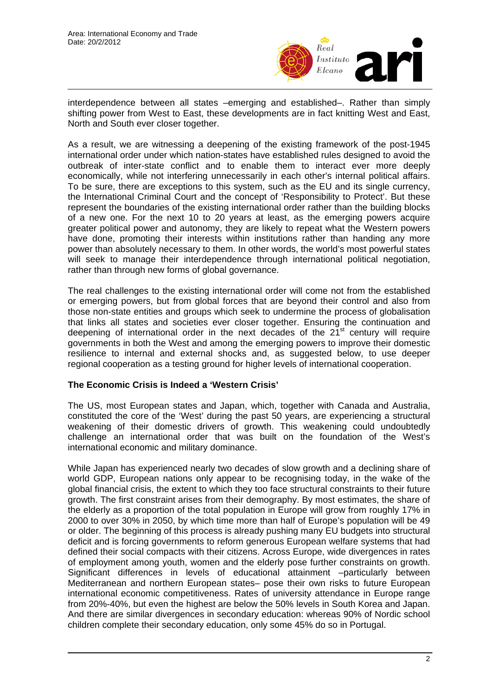

interdependence between all states –emerging and established–. Rather than simply shifting power from West to East, these developments are in fact knitting West and East, North and South ever closer together.

As a result, we are witnessing a deepening of the existing framework of the post-1945 international order under which nation-states have established rules designed to avoid the outbreak of inter-state conflict and to enable them to interact ever more deeply economically, while not interfering unnecessarily in each other's internal political affairs. To be sure, there are exceptions to this system, such as the EU and its single currency, the International Criminal Court and the concept of 'Responsibility to Protect'. But these represent the boundaries of the existing international order rather than the building blocks of a new one. For the next 10 to 20 years at least, as the emerging powers acquire greater political power and autonomy, they are likely to repeat what the Western powers have done, promoting their interests within institutions rather than handing any more power than absolutely necessary to them. In other words, the world's most powerful states will seek to manage their interdependence through international political negotiation, rather than through new forms of global governance.

The real challenges to the existing international order will come not from the established or emerging powers, but from global forces that are beyond their control and also from those non-state entities and groups which seek to undermine the process of globalisation that links all states and societies ever closer together. Ensuring the continuation and deepening of international order in the next decades of the  $21<sup>st</sup>$  century will require governments in both the West and among the emerging powers to improve their domestic resilience to internal and external shocks and, as suggested below, to use deeper regional cooperation as a testing ground for higher levels of international cooperation.

### **The Economic Crisis is Indeed a 'Western Crisis'**

The US, most European states and Japan, which, together with Canada and Australia, constituted the core of the 'West' during the past 50 years, are experiencing a structural weakening of their domestic drivers of growth. This weakening could undoubtedly challenge an international order that was built on the foundation of the West's international economic and military dominance.

While Japan has experienced nearly two decades of slow growth and a declining share of world GDP, European nations only appear to be recognising today, in the wake of the global financial crisis, the extent to which they too face structural constraints to their future growth. The first constraint arises from their demography. By most estimates, the share of the elderly as a proportion of the total population in Europe will grow from roughly 17% in 2000 to over 30% in 2050, by which time more than half of Europe's population will be 49 or older. The beginning of this process is already pushing many EU budgets into structural deficit and is forcing governments to reform generous European welfare systems that had defined their social compacts with their citizens. Across Europe, wide divergences in rates of employment among youth, women and the elderly pose further constraints on growth. Significant differences in levels of educational attainment –particularly between Mediterranean and northern European states– pose their own risks to future European international economic competitiveness. Rates of university attendance in Europe range from 20%-40%, but even the highest are below the 50% levels in South Korea and Japan. And there are similar divergences in secondary education: whereas 90% of Nordic school children complete their secondary education, only some 45% do so in Portugal.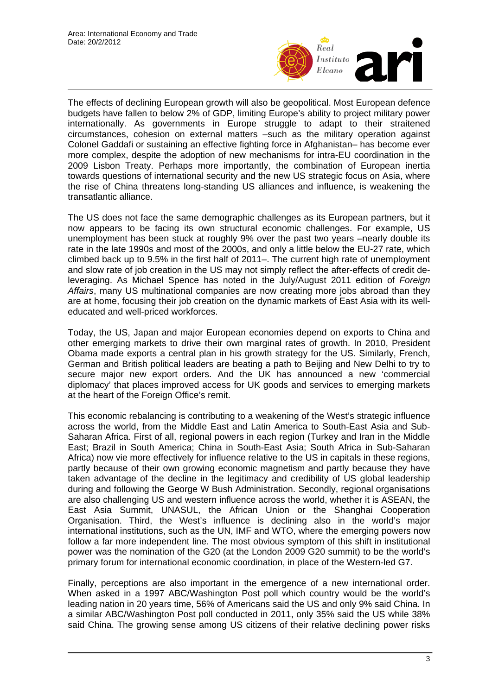

The effects of declining European growth will also be geopolitical. Most European defence budgets have fallen to below 2% of GDP, limiting Europe's ability to project military power internationally. As governments in Europe struggle to adapt to their straitened circumstances, cohesion on external matters –such as the military operation against Colonel Gaddafi or sustaining an effective fighting force in Afghanistan– has become ever more complex, despite the adoption of new mechanisms for intra-EU coordination in the 2009 Lisbon Treaty. Perhaps more importantly, the combination of European inertia towards questions of international security and the new US strategic focus on Asia, where the rise of China threatens long-standing US alliances and influence, is weakening the transatlantic alliance.

The US does not face the same demographic challenges as its European partners, but it now appears to be facing its own structural economic challenges. For example, US unemployment has been stuck at roughly 9% over the past two years –nearly double its rate in the late 1990s and most of the 2000s, and only a little below the EU-27 rate, which climbed back up to 9.5% in the first half of 2011–. The current high rate of unemployment and slow rate of job creation in the US may not simply reflect the after-effects of credit deleveraging. As Michael Spence has noted in the July/August 2011 edition of *Foreign Affairs*, many US multinational companies are now creating more jobs abroad than they are at home, focusing their job creation on the dynamic markets of East Asia with its welleducated and well-priced workforces.

Today, the US, Japan and major European economies depend on exports to China and other emerging markets to drive their own marginal rates of growth. In 2010, President Obama made exports a central plan in his growth strategy for the US. Similarly, French, German and British political leaders are beating a path to Beijing and New Delhi to try to secure major new export orders. And the UK has announced a new 'commercial diplomacy' that places improved access for UK goods and services to emerging markets at the heart of the Foreign Office's remit.

This economic rebalancing is contributing to a weakening of the West's strategic influence across the world, from the Middle East and Latin America to South-East Asia and Sub-Saharan Africa. First of all, regional powers in each region (Turkey and Iran in the Middle East; Brazil in South America; China in South-East Asia; South Africa in Sub-Saharan Africa) now vie more effectively for influence relative to the US in capitals in these regions, partly because of their own growing economic magnetism and partly because they have taken advantage of the decline in the legitimacy and credibility of US global leadership during and following the George W Bush Administration. Secondly, regional organisations are also challenging US and western influence across the world, whether it is ASEAN, the East Asia Summit, UNASUL, the African Union or the Shanghai Cooperation Organisation. Third, the West's influence is declining also in the world's major international institutions, such as the UN, IMF and WTO, where the emerging powers now follow a far more independent line. The most obvious symptom of this shift in institutional power was the nomination of the G20 (at the London 2009 G20 summit) to be the world's primary forum for international economic coordination, in place of the Western-led G7.

Finally, perceptions are also important in the emergence of a new international order. When asked in a 1997 ABC/Washington Post poll which country would be the world's leading nation in 20 years time, 56% of Americans said the US and only 9% said China. In a similar ABC/Washington Post poll conducted in 2011, only 35% said the US while 38% said China. The growing sense among US citizens of their relative declining power risks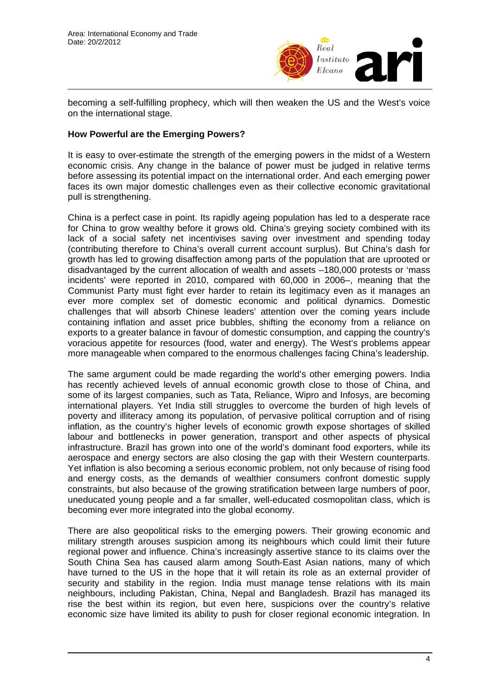

becoming a self-fulfilling prophecy, which will then weaken the US and the West's voice on the international stage.

# **How Powerful are the Emerging Powers?**

It is easy to over-estimate the strength of the emerging powers in the midst of a Western economic crisis. Any change in the balance of power must be judged in relative terms before assessing its potential impact on the international order. And each emerging power faces its own major domestic challenges even as their collective economic gravitational pull is strengthening.

China is a perfect case in point. Its rapidly ageing population has led to a desperate race for China to grow wealthy before it grows old. China's greying society combined with its lack of a social safety net incentivises saving over investment and spending today (contributing therefore to China's overall current account surplus). But China's dash for growth has led to growing disaffection among parts of the population that are uprooted or disadvantaged by the current allocation of wealth and assets –180,000 protests or 'mass incidents' were reported in 2010, compared with 60,000 in 2006–, meaning that the Communist Party must fight ever harder to retain its legitimacy even as it manages an ever more complex set of domestic economic and political dynamics. Domestic challenges that will absorb Chinese leaders' attention over the coming years include containing inflation and asset price bubbles, shifting the economy from a reliance on exports to a greater balance in favour of domestic consumption, and capping the country's voracious appetite for resources (food, water and energy). The West's problems appear more manageable when compared to the enormous challenges facing China's leadership.

The same argument could be made regarding the world's other emerging powers. India has recently achieved levels of annual economic growth close to those of China, and some of its largest companies, such as Tata, Reliance, Wipro and Infosys, are becoming international players. Yet India still struggles to overcome the burden of high levels of poverty and illiteracy among its population, of pervasive political corruption and of rising inflation, as the country's higher levels of economic growth expose shortages of skilled labour and bottlenecks in power generation, transport and other aspects of physical infrastructure. Brazil has grown into one of the world's dominant food exporters, while its aerospace and energy sectors are also closing the gap with their Western counterparts. Yet inflation is also becoming a serious economic problem, not only because of rising food and energy costs, as the demands of wealthier consumers confront domestic supply constraints, but also because of the growing stratification between large numbers of poor, uneducated young people and a far smaller, well-educated cosmopolitan class, which is becoming ever more integrated into the global economy.

There are also geopolitical risks to the emerging powers. Their growing economic and military strength arouses suspicion among its neighbours which could limit their future regional power and influence. China's increasingly assertive stance to its claims over the South China Sea has caused alarm among South-East Asian nations, many of which have turned to the US in the hope that it will retain its role as an external provider of security and stability in the region. India must manage tense relations with its main neighbours, including Pakistan, China, Nepal and Bangladesh. Brazil has managed its rise the best within its region, but even here, suspicions over the country's relative economic size have limited its ability to push for closer regional economic integration. In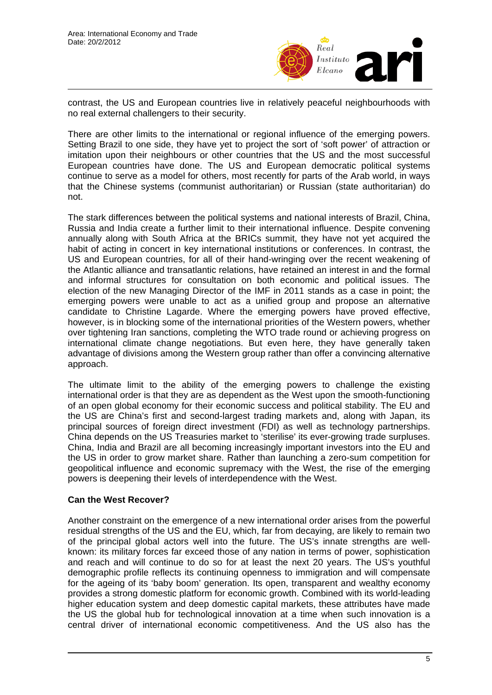

contrast, the US and European countries live in relatively peaceful neighbourhoods with no real external challengers to their security.

There are other limits to the international or regional influence of the emerging powers. Setting Brazil to one side, they have yet to project the sort of 'soft power' of attraction or imitation upon their neighbours or other countries that the US and the most successful European countries have done. The US and European democratic political systems continue to serve as a model for others, most recently for parts of the Arab world, in ways that the Chinese systems (communist authoritarian) or Russian (state authoritarian) do not.

The stark differences between the political systems and national interests of Brazil, China, Russia and India create a further limit to their international influence. Despite convening annually along with South Africa at the BRICs summit, they have not yet acquired the habit of acting in concert in key international institutions or conferences. In contrast, the US and European countries, for all of their hand-wringing over the recent weakening of the Atlantic alliance and transatlantic relations, have retained an interest in and the formal and informal structures for consultation on both economic and political issues. The election of the new Managing Director of the IMF in 2011 stands as a case in point; the emerging powers were unable to act as a unified group and propose an alternative candidate to Christine Lagarde. Where the emerging powers have proved effective, however, is in blocking some of the international priorities of the Western powers, whether over tightening Iran sanctions, completing the WTO trade round or achieving progress on international climate change negotiations. But even here, they have generally taken advantage of divisions among the Western group rather than offer a convincing alternative approach.

The ultimate limit to the ability of the emerging powers to challenge the existing international order is that they are as dependent as the West upon the smooth-functioning of an open global economy for their economic success and political stability. The EU and the US are China's first and second-largest trading markets and, along with Japan, its principal sources of foreign direct investment (FDI) as well as technology partnerships. China depends on the US Treasuries market to 'sterilise' its ever-growing trade surpluses. China, India and Brazil are all becoming increasingly important investors into the EU and the US in order to grow market share. Rather than launching a zero-sum competition for geopolitical influence and economic supremacy with the West, the rise of the emerging powers is deepening their levels of interdependence with the West.

### **Can the West Recover?**

Another constraint on the emergence of a new international order arises from the powerful residual strengths of the US and the EU, which, far from decaying, are likely to remain two of the principal global actors well into the future. The US's innate strengths are wellknown: its military forces far exceed those of any nation in terms of power, sophistication and reach and will continue to do so for at least the next 20 years. The US's youthful demographic profile reflects its continuing openness to immigration and will compensate for the ageing of its 'baby boom' generation. Its open, transparent and wealthy economy provides a strong domestic platform for economic growth. Combined with its world-leading higher education system and deep domestic capital markets, these attributes have made the US the global hub for technological innovation at a time when such innovation is a central driver of international economic competitiveness. And the US also has the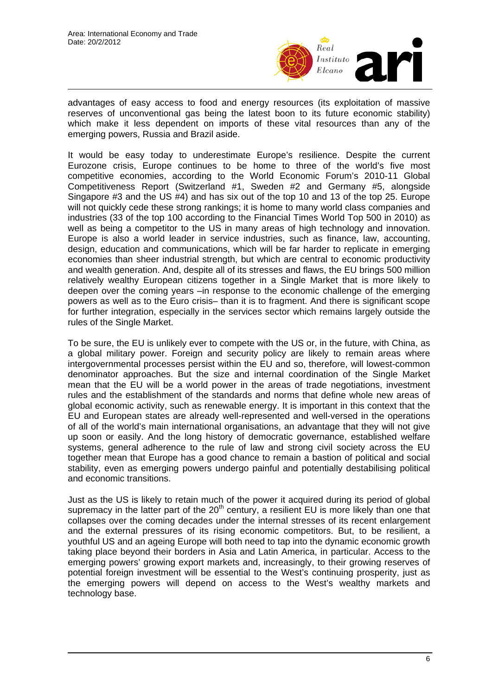

advantages of easy access to food and energy resources (its exploitation of massive reserves of unconventional gas being the latest boon to its future economic stability) which make it less dependent on imports of these vital resources than any of the emerging powers, Russia and Brazil aside.

It would be easy today to underestimate Europe's resilience. Despite the current Eurozone crisis, Europe continues to be home to three of the world's five most competitive economies, according to the World Economic Forum's 2010-11 Global Competitiveness Report (Switzerland #1, Sweden #2 and Germany #5, alongside Singapore #3 and the US #4) and has six out of the top 10 and 13 of the top 25. Europe will not quickly cede these strong rankings; it is home to many world class companies and industries (33 of the top 100 according to the Financial Times World Top 500 in 2010) as well as being a competitor to the US in many areas of high technology and innovation. Europe is also a world leader in service industries, such as finance, law, accounting, design, education and communications, which will be far harder to replicate in emerging economies than sheer industrial strength, but which are central to economic productivity and wealth generation. And, despite all of its stresses and flaws, the EU brings 500 million relatively wealthy European citizens together in a Single Market that is more likely to deepen over the coming years –in response to the economic challenge of the emerging powers as well as to the Euro crisis– than it is to fragment. And there is significant scope for further integration, especially in the services sector which remains largely outside the rules of the Single Market.

To be sure, the EU is unlikely ever to compete with the US or, in the future, with China, as a global military power. Foreign and security policy are likely to remain areas where intergovernmental processes persist within the EU and so, therefore, will lowest-common denominator approaches. But the size and internal coordination of the Single Market mean that the EU will be a world power in the areas of trade negotiations, investment rules and the establishment of the standards and norms that define whole new areas of global economic activity, such as renewable energy. It is important in this context that the EU and European states are already well-represented and well-versed in the operations of all of the world's main international organisations, an advantage that they will not give up soon or easily. And the long history of democratic governance, established welfare systems, general adherence to the rule of law and strong civil society across the EU together mean that Europe has a good chance to remain a bastion of political and social stability, even as emerging powers undergo painful and potentially destabilising political and economic transitions.

Just as the US is likely to retain much of the power it acquired during its period of global supremacy in the latter part of the 20<sup>th</sup> century, a resilient EU is more likely than one that collapses over the coming decades under the internal stresses of its recent enlargement and the external pressures of its rising economic competitors. But, to be resilient, a youthful US and an ageing Europe will both need to tap into the dynamic economic growth taking place beyond their borders in Asia and Latin America, in particular. Access to the emerging powers' growing export markets and, increasingly, to their growing reserves of potential foreign investment will be essential to the West's continuing prosperity, just as the emerging powers will depend on access to the West's wealthy markets and technology base.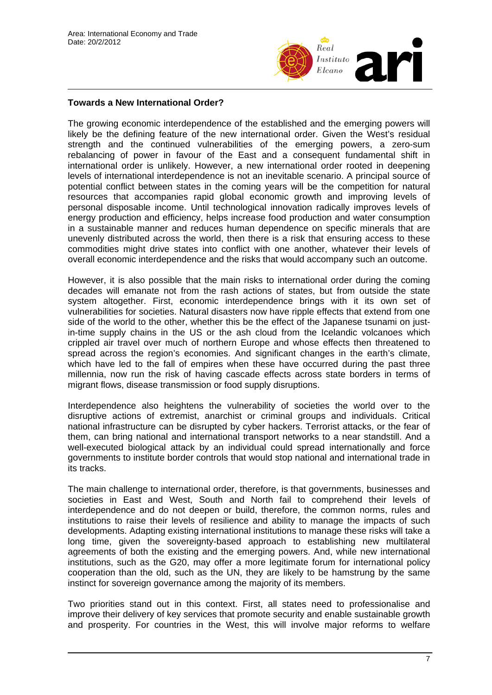

# **Towards a New International Order?**

The growing economic interdependence of the established and the emerging powers will likely be the defining feature of the new international order. Given the West's residual strength and the continued vulnerabilities of the emerging powers, a zero-sum rebalancing of power in favour of the East and a consequent fundamental shift in international order is unlikely. However, a new international order rooted in deepening levels of international interdependence is not an inevitable scenario. A principal source of potential conflict between states in the coming years will be the competition for natural resources that accompanies rapid global economic growth and improving levels of personal disposable income. Until technological innovation radically improves levels of energy production and efficiency, helps increase food production and water consumption in a sustainable manner and reduces human dependence on specific minerals that are unevenly distributed across the world, then there is a risk that ensuring access to these commodities might drive states into conflict with one another, whatever their levels of overall economic interdependence and the risks that would accompany such an outcome.

However, it is also possible that the main risks to international order during the coming decades will emanate not from the rash actions of states, but from outside the state system altogether. First, economic interdependence brings with it its own set of vulnerabilities for societies. Natural disasters now have ripple effects that extend from one side of the world to the other, whether this be the effect of the Japanese tsunami on justin-time supply chains in the US or the ash cloud from the Icelandic volcanoes which crippled air travel over much of northern Europe and whose effects then threatened to spread across the region's economies. And significant changes in the earth's climate, which have led to the fall of empires when these have occurred during the past three millennia, now run the risk of having cascade effects across state borders in terms of migrant flows, disease transmission or food supply disruptions.

Interdependence also heightens the vulnerability of societies the world over to the disruptive actions of extremist, anarchist or criminal groups and individuals. Critical national infrastructure can be disrupted by cyber hackers. Terrorist attacks, or the fear of them, can bring national and international transport networks to a near standstill. And a well-executed biological attack by an individual could spread internationally and force governments to institute border controls that would stop national and international trade in its tracks.

The main challenge to international order, therefore, is that governments, businesses and societies in East and West, South and North fail to comprehend their levels of interdependence and do not deepen or build, therefore, the common norms, rules and institutions to raise their levels of resilience and ability to manage the impacts of such developments. Adapting existing international institutions to manage these risks will take a long time, given the sovereignty-based approach to establishing new multilateral agreements of both the existing and the emerging powers. And, while new international institutions, such as the G20, may offer a more legitimate forum for international policy cooperation than the old, such as the UN, they are likely to be hamstrung by the same instinct for sovereign governance among the majority of its members.

Two priorities stand out in this context. First, all states need to professionalise and improve their delivery of key services that promote security and enable sustainable growth and prosperity. For countries in the West, this will involve major reforms to welfare